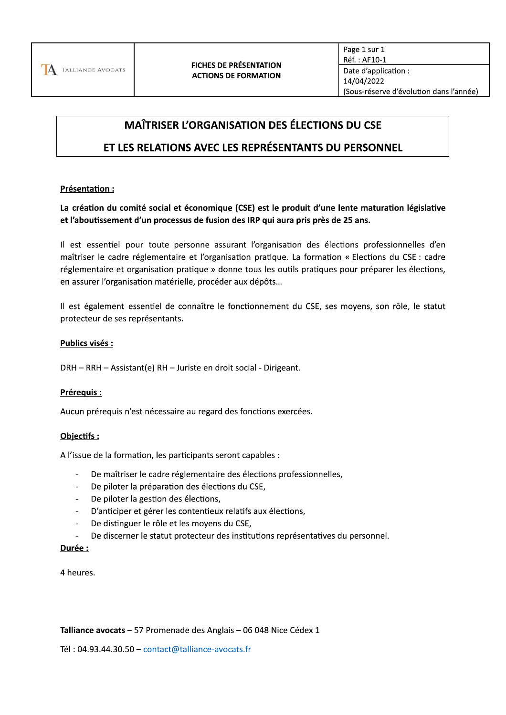

# **MAÎTRISER L'ORGANISATION DES ÉLECTIONS DU CSE**

# ET LES RELATIONS AVEC LES REPRÉSENTANTS DU PERSONNEL

# Présentation :

La création du comité social et économique (CSE) est le produit d'une lente maturation législative et l'aboutissement d'un processus de fusion des IRP qui aura pris près de 25 ans.

Il est essentiel pour toute personne assurant l'organisation des élections professionnelles d'en maîtriser le cadre réglementaire et l'organisation pratique. La formation « Elections du CSE : cadre réglementaire et organisation pratique » donne tous les outils pratiques pour préparer les élections, en assurer l'organisation matérielle, procéder aux dépôts...

Il est également essentiel de connaître le fonctionnement du CSE, ses moyens, son rôle, le statut protecteur de ses représentants.

# Publics visés :

DRH - RRH - Assistant(e) RH - Juriste en droit social - Dirigeant.

# Prérequis :

Aucun prérequis n'est nécessaire au regard des fonctions exercées.

# Objectifs:

A l'issue de la formation, les participants seront capables :

- De maîtriser le cadre réglementaire des élections professionnelles,
- De piloter la préparation des élections du CSE,  $\omega$  .
- De piloter la gestion des élections,
- D'anticiper et gérer les contentieux relatifs aux élections,  $\sim$
- De distinguer le rôle et les moyens du CSE,
- De discerner le statut protecteur des institutions représentatives du personnel.  $\sim$

#### Durée :

4 heures.

#### Talliance avocats - 57 Promenade des Anglais - 06 048 Nice Cédex 1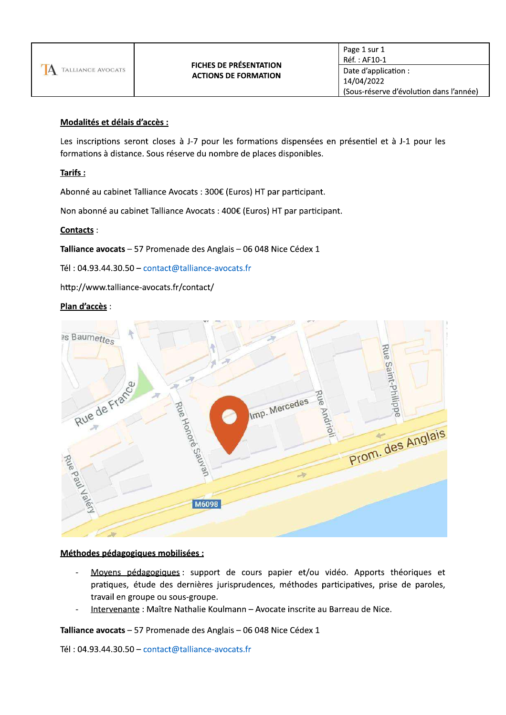# Modalités et délais d'accès :

Les inscriptions seront closes à J-7 pour les formations dispensées en présentiel et à J-1 pour les formations à distance. Sous réserve du nombre de places disponibles.

# Tarifs:

Abonné au cabinet Talliance Avocats : 300€ (Euros) HT par participant.

Non abonné au cabinet Talliance Avocats : 400€ (Euros) HT par participant.

# Contacts:

Talliance avocats - 57 Promenade des Anglais - 06 048 Nice Cédex 1

Tél: 04.93.44.30.50 - contact@talliance-avocats.fr

http://www.talliance-avocats.fr/contact/

# Plan d'accès :



# Méthodes pédagogiques mobilisées :

- Moyens pédagogiques : support de cours papier et/ou vidéo. Apports théoriques et pratiques, étude des dernières jurisprudences, méthodes participatives, prise de paroles, travail en groupe ou sous-groupe.
- Intervenante : Maître Nathalie Koulmann Avocate inscrite au Barreau de Nice.

Talliance avocats - 57 Promenade des Anglais - 06 048 Nice Cédex 1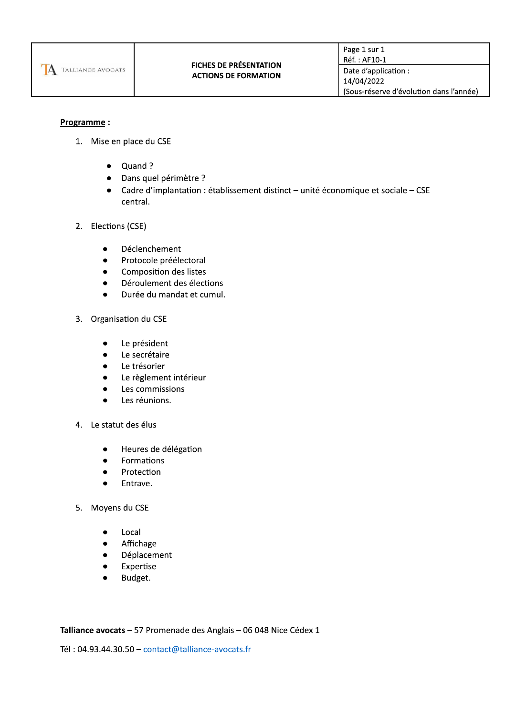

# Programme:

- 1. Mise en place du CSE
	- Quand ?
	- · Dans quel périmètre ?
	- Cadre d'implantation : établissement distinct unité économique et sociale CSE central.
- 2. Elections (CSE)
	- Déclenchement  $\bullet$
	- Protocole préélectoral  $\bullet$
	- Composition des listes  $\bullet$
	- Déroulement des élections  $\bullet$
	- Durée du mandat et cumul.  $\bullet$
- 3. Organisation du CSE
	- Le président
	- Le secrétaire
	- Le trésorier
	- Le règlement intérieur
	- Les commissions
	- Les réunions.
- 4. Le statut des élus
	- Heures de délégation  $\bullet$
	- Formations
	- Protection
	- Entrave.  $\bullet$
- 5. Moyens du CSE
	- Local  $\bullet$
	- Affichage
	- Déplacement  $\bullet$
	- Expertise  $\bullet$
	- Budget.

Talliance avocats - 57 Promenade des Anglais - 06 048 Nice Cédex 1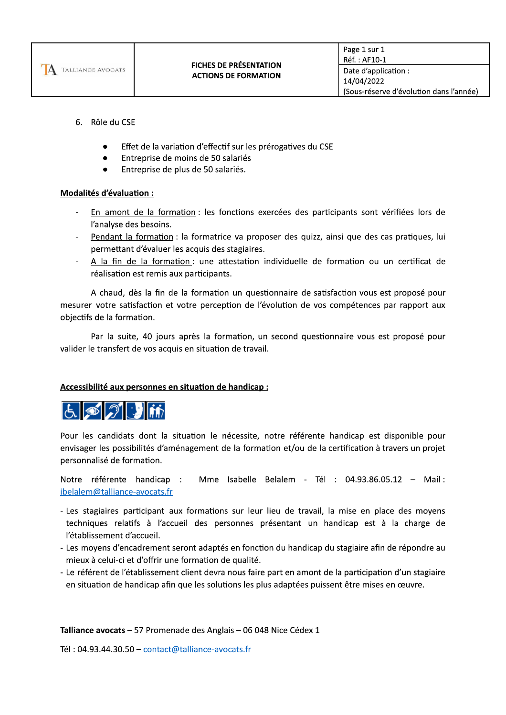

- 6. Rôle du CSE
	- Effet de la variation d'effectif sur les prérogatives du CSE
	- Entreprise de moins de 50 salariés
	- Entreprise de plus de 50 salariés.

# Modalités d'évaluation :

- En amont de la formation : les fonctions exercées des participants sont vérifiées lors de l'analyse des besoins.
- Pendant la formation : la formatrice va proposer des quizz, ainsi que des cas pratiques, lui permettant d'évaluer les acquis des stagiaires.
- A la fin de la formation : une attestation individuelle de formation ou un certificat de réalisation est remis aux participants.

A chaud, dès la fin de la formation un questionnaire de satisfaction vous est proposé pour mesurer votre satisfaction et votre perception de l'évolution de vos compétences par rapport aux objectifs de la formation.

Par la suite, 40 jours après la formation, un second questionnaire vous est proposé pour valider le transfert de vos acquis en situation de travail.

# Accessibilité aux personnes en situation de handicap :



Pour les candidats dont la situation le nécessite, notre référente handicap est disponible pour envisager les possibilités d'aménagement de la formation et/ou de la certification à travers un projet personnalisé de formation.

Notre référente handicap : Mme Isabelle Belalem - Tél : 04.93.86.05.12 - Mail : ibelalem@talliance-avocats.fr

- Les stagiaires participant aux formations sur leur lieu de travail, la mise en place des moyens techniques relatifs à l'accueil des personnes présentant un handicap est à la charge de l'établissement d'accueil.
- Les moyens d'encadrement seront adaptés en fonction du handicap du stagiaire afin de répondre au mieux à celui-ci et d'offrir une formation de qualité.
- Le référent de l'établissement client devra nous faire part en amont de la participation d'un stagiaire en situation de handicap afin que les solutions les plus adaptées puissent être mises en œuvre.

Talliance avocats - 57 Promenade des Anglais - 06 048 Nice Cédex 1